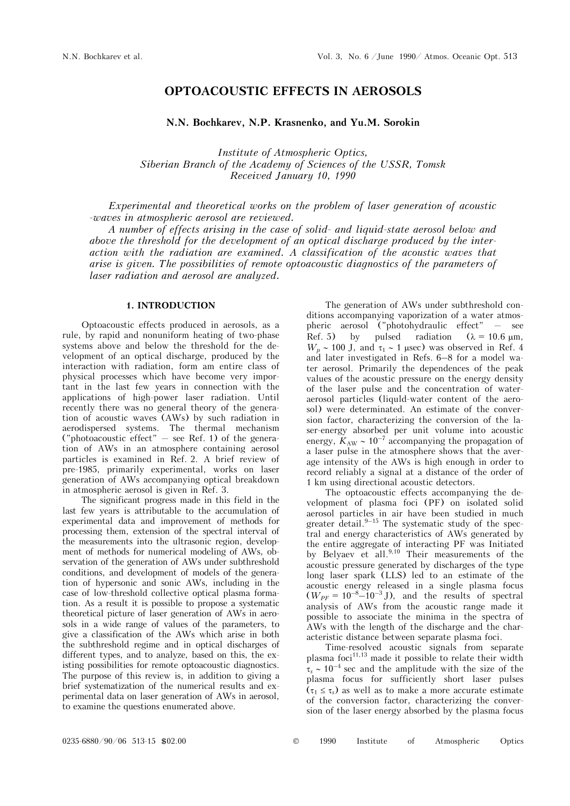# **OPTOACOUSTIC EFFECTS IN AEROSOLS**

## **N.N. Bochkarev, N.P. Krasnenko, and Yu.M. Sorokin**

*Institute of Atmospheric Optics, Siberian Branch of the Academy of Sciences of the USSR, Tomsk Received January 10, 1990* 

*Experimental and theoretical works on the problem of laser generation of acoustic -waves in atmospheric aerosol are reviewed.*

*A number of effects arising in the case of solid- and liquid-state aerosol below and above the threshold for the development of an optical discharge produced by the interaction with the radiation are examined. A classification of the acoustic waves that arise is given. The possibilities of remote optoacoustic diagnostics of the parameters of laser radiation and aerosol are analyzed.* 

#### **1. INTRODUCTION**

Optoacoustic effects produced in aerosols, as a rule, by rapid and nonuniform heating of two-phase systems above and below the threshold for the development of an optical discharge, produced by the interaction with radiation, form am entire class of physical processes which have become very important in the last few years in connection with the applications of high-power laser radiation. Until recently there was no general theory of the generation of acoustic waves (AWs) by such radiation in aerodispersed systems. The thermal mechanism ("photoacoustic effect"  $-$  see Ref. 1) of the generation of AWs in an atmosphere containing aerosol particles is examined in Ref. 2. A brief review of pre-1985, primarily experimental, works on laser generation of AWs accompanying optical breakdown in atmospheric aerosol is given in Ref. 3.

The significant progress made in this field in the last few years is attributable to the accumulation of experimental data and improvement of methods for processing them, extension of the spectral interval of the measurements into the ultrasonic region, development of methods for numerical modeling of AWs, observation of the generation of AWs under subthreshold conditions, and development of models of the generation of hypersonic and sonic AWs, including in the case of low-threshold collective optical plasma formation. As a result it is possible to propose a systematic theoretical picture of laser generation of AWs in aerosols in a wide range of values of the parameters, to give a classification of the AWs which arise in both the subthreshold regime and in optical discharges of different types, and to analyze, based on this, the existing possibilities for remote optoacoustic diagnostics. The purpose of this review is, in addition to giving a brief systematization of the numerical results and experimental data on laser generation of AWs in aerosol, to examine the questions enumerated above.

The generation of AWs under subthreshold conditions accompanying vaporization of a water atmospheric aerosol ("photohydraulic effect" — see Ref. 5) by pulsed radiation  $(\lambda = 10.6 \text{ µm})$ ,  $W_p \sim 100$  J, and  $\tau_1 \sim 1$  usec) was observed in Ref. 4 and later investigated in Refs. 6–8 for a model water aerosol. Primarily the dependences of the peak values of the acoustic pressure on the energy density of the laser pulse and the concentration of wateraerosol particles (liquld-water content of the aerosol) were determinated. An estimate of the conversion factor, characterizing the conversion of the laser-energy absorbed per unit volume into acoustic energy,  $K_{AW} \sim 10^{-7}$  accompanying the propagation of a laser pulse in the atmosphere shows that the average intensity of the AWs is high enough in order to record reliably a signal at a distance of the order of 1 km using directional acoustic detectors.

The optoacoustic effects accompanying the development of plasma foci (PF) on isolated solid aerosol particles in air have been studied in much greater detail. $9-15$  The systematic study of the spectral and energy characteristics of AWs generated by the entire aggregate of interacting PF was Initiated by Belyaev et all.<sup>9,10</sup> Their measurements of the acoustic pressure generated by discharges of the type long laser spark (LLS) led to an estimate of the acoustic energy released in a single plasma focus  $(W_{PF} = 10^{-8} - 10^{-3} \text{ J})$ , and the results of spectral analysis of AWs from the acoustic range made it possible to associate the minima in the spectra of AWs with the length of the discharge and the characteristic distance between separate plasma foci.

Time-resolved acoustic signals from separate plasma foci $^{11,13}$  made it possible to relate their width  $\tau_s \sim 10^{-4}$  sec and the amplitude with the size of the plasma focus for sufficiently short laser pulses  $(\tau_1 \leq \tau_s)$  as well as to make a more accurate estimate of the conversion factor, characterizing the conversion of the laser energy absorbed by the plasma focus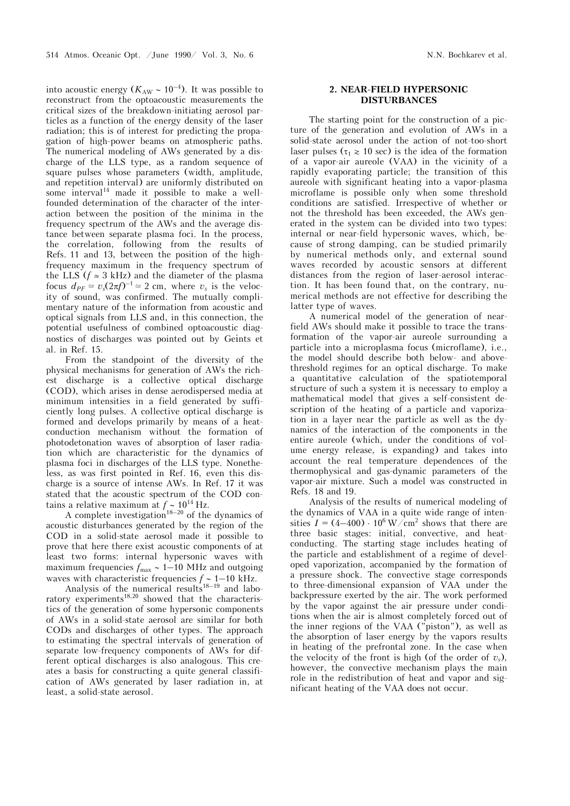into acoustic energy  $(K_{AW} \sim 10^{-4})$ . It was possible to reconstruct from the optoacoustic measurements the critical sizes of the breakdown-initiating aerosol particles as a function of the energy density of the laser radiation; this is of interest for predicting the propagation of high-power beams on atmospheric paths. The numerical modeling of AWs generated by a discharge of the LLS type, as a random sequence of square pulses whose parameters (width, amplitude, and repetition interval) are uniformly distributed on some interval<sup>14</sup> made it possible to make a wellfounded determination of the character of the interaction between the position of the minima in the frequency spectrum of the AWs and the average distance between separate plasma foci. In the process, the correlation, following from the results of Refs. 11 and 13, between the position of the highfrequency maximum in the frequency spectrum of the LLS ( $f \approx 3$  kHz) and the diameter of the plasma focus  $d_{PF} \simeq v_s(2\pi f)^{-1} \simeq 2$  cm, where  $v_s$  is the velocity of sound, was confirmed. The mutually complimentary nature of the information from acoustic and optical signals from LLS and, in this connection, the potential usefulness of combined optoacoustic diagnostics of discharges was pointed out by Geints et al. in Ref. 15.

From the standpoint of the diversity of the physical mechanisms for generation of AWs the richest discharge is a collective optical discharge (COD), which arises in dense aerodispersed media at minimum intensities in a field generated by sufficiently long pulses. A collective optical discharge is formed and develops primarily by means of a heatconduction mechanism without the formation of photodetonation waves of absorption of laser radiation which are characteristic for the dynamics of plasma foci in discharges of the LLS type. Nonetheless, as was first pointed in Ref. 16, even this discharge is a source of intense AWs. In Ref. 17 it was stated that the acoustic spectrum of the COD contains a relative maximum at  $f \sim 10^{14}$  Hz.

A complete investigation<sup>18–20</sup> of the dynamics of acoustic disturbances generated by the region of the COD in a solid-state aerosol made it possible to prove that here there exist acoustic components of at least two forms: internal hypersonic waves with maximum frequencies  $f_{\text{max}} \sim 1-10$  MHz and outgoing waves with characteristic frequencies  $f \sim 1-10$  kHz.

Analysis of the numerical results<sup>18–19</sup> and laboratory experiments<sup>18,20</sup> showed that the characteristics of the generation of some hypersonic components of AWs in a solid-state aerosol are similar for both CODs and discharges of other types. The approach to estimating the spectral intervals of generation of separate low-frequency components of AWs for different optical discharges is also analogous. This creates a basis for constructing a quite general classification of AWs generated by laser radiation in, at least, a solid-state aerosol.

## **2. NEAR-FIELD HYPERSONIC DISTURBANCES**

The starting point for the construction of a picture of the generation and evolution of AWs in a solid-state aerosol under the action of not-too-short laser pulses ( $\tau_1 \ge 10$  sec) is the idea of the formation of a vapor-air aureole (VAA) in the vicinity of a rapidly evaporating particle; the transition of this aureole with significant heating into a vapor-plasma microflame is possible only when some threshold conditions are satisfied. Irrespective of whether or not the threshold has been exceeded, the AWs generated in the system can be divided into two types: internal or near-field hypersonic waves, which, because of strong damping, can be studied primarily by numerical methods only, and external sound waves recorded by acoustic sensors at different distances from the region of laser-aerosol interaction. It has been found that, on the contrary, numerical methods are not effective for describing the latter type of waves.

A numerical model of the generation of nearfield AWs should make it possible to trace the transformation of the vapor-air aureole surrounding a particle into a microplasma focus (microflame), i.e., the model should describe both below- and abovethreshold regimes for an optical discharge. To make a quantitative calculation of the spatiotemporal structure of such a system it is necessary to employ a mathematical model that gives a self-consistent description of the heating of a particle and vaporization in a layer near the particle as well as the dynamics of the interaction of the components in the entire aureole (which, under the conditions of volume energy release, is expanding) and takes into account the real temperature dependences of the thermophysical and gas-dynamic parameters of the vapor-air mixture. Such a model was constructed in Refs. 18 and 19.

Analysis of the results of numerical modeling of the dynamics of VAA in a quite wide range of intensities  $I = (4-400) \cdot 10^6 \,\mathrm{W/cm^2}$  shows that there are three basic stages: initial, convective, and heatconducting. The starting stage includes heating of the particle and establishment of a regime of developed vaporization, accompanied by the formation of a pressure shock. The convective stage corresponds to three-dimensional expansion of VAA under the backpressure exerted by the air. The work performed by the vapor against the air pressure under conditions when the air is almost completely forced out of the inner regions of the VAA ("piston"), as well as the absorption of laser energy by the vapors results in heating of the prefrontal zone. In the case when the velocity of the front is high (of the order of  $v_s$ ), however, the convective mechanism plays the main role in the redistribution of heat and vapor and significant heating of the VAA does not occur.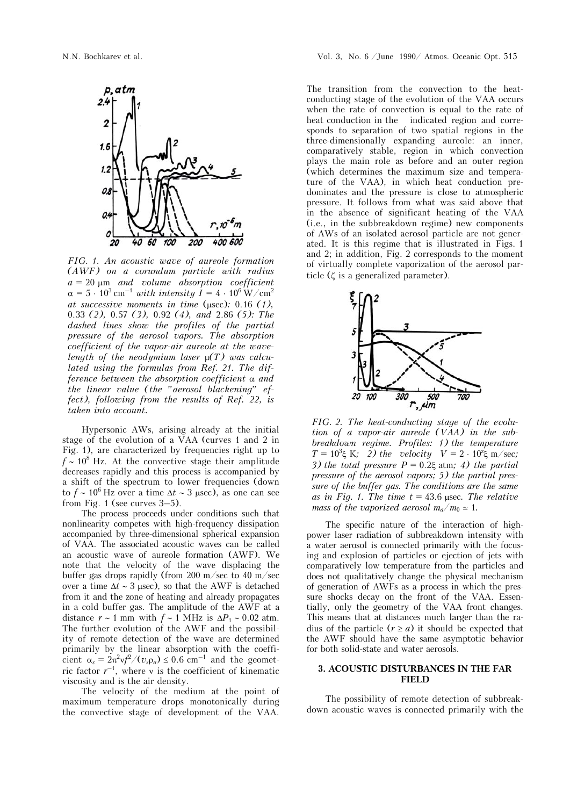

*FIG. 1. An acoustic wave of aureole formation (AWF) on a corundum particle with radius a* = 20 m *and volume absorption coefficient*   $\alpha = 5 \cdot 10^3 \,\mathrm{cm}^{-1}$  with intensity  $I = 4 \cdot 10^6 \,\mathrm{W/cm^2}$ *at successive moments in time (usec):*  $0.16$  (1), 0.33 *(2),* 0.57 *(3),* 0.92 *(4), and* 2.86 *(5): The dashed lines show the profiles of the partial pressure of the aerosol vapors. The absorption coefficient of the vapor-air aureole at the wavelength of the neodymium laser (T) was calculated using the formulas from Ref. 21. The difference between the absorption coefficient and the linear value (the "aerosol blackening" effect), following from the results of Ref. 22, is taken into account.*

Hypersonic AWs, arising already at the initial stage of the evolution of a VAA (curves 1 and 2 in Fig. 1), are characterized by frequencies right up to  $f \sim 10^8$  Hz. At the convective stage their amplitude decreases rapidly and this process is accompanied by a shift of the spectrum to lower frequencies (down to  $f \sim 10^6$  Hz over a time  $\Delta t \sim 3$  usec), as one can see from Fig. 1 (see curves 3–5).

The process proceeds under conditions such that nonlinearity competes with high-frequency dissipation accompanied by three-dimensional spherical expansion of VAA. The associated acoustic waves can be called an acoustic wave of aureole formation (AWF). We note that the velocity of the wave displacing the buffer gas drops rapidly (from 200 m/sec to 40 m/sec over a time  $\Delta t \sim 3$  usec), so that the AWF is detached from it and the zone of heating and already propagates in a cold buffer gas. The amplitude of the AWF at a distance  $r \sim 1$  mm with  $f \sim 1$  MHz is  $\Delta P_1 \sim 0.02$  atm. The further evolution of the AWF and the possibility of remote detection of the wave are determined primarily by the linear absorption with the coefficient  $\alpha_s = 2\pi^2 v f^2 / (v_s \rho_a) \leq 0.6$  cm<sup>-1</sup> and the geometric factor  $r^{-1}$ , where v is the coefficient of kinematic viscosity and is the air density.

The velocity of the medium at the point of maximum temperature drops monotonically during the convective stage of development of the VAA.

The transition from the convection to the heatconducting stage of the evolution of the VAA occurs when the rate of convection is equal to the rate of heat conduction in the indicated region and corresponds to separation of two spatial regions in the three-dimensionally expanding aureole: an inner, comparatively stable, region in which convection plays the main role as before and an outer region (which determines the maximum size and temperature of the VAA), in which heat conduction predominates and the pressure is close to atmospheric pressure. It follows from what was said above that in the absence of significant heating of the VAA (i.e., in the subbreakdown regime) new components of AWs of an isolated aerosol particle are not generated. It is this regime that is illustrated in Figs. 1 and 2; in addition, Fig. 2 corresponds to the moment of virtually complete vaporization of the aerosol particle  $(\zeta$  is a generalized parameter).



*FIG. 2. The heat-conducting stage of the evolution of a vapor-air aureole (VAA) in the subbreakdown regime. Profiles: 1) the temperature*   $T = 10^3 \xi \text{ K}$ ; 2) the velocity  $V = 2 \cdot 10^2 \xi \text{ m/sec}$ ; *3) the total pressure*  $P = 0.2 \xi$  atm; *4) the partial pressure of the aerosol vapors; 5) the partial pressure of the buffer gas. The conditions are the same*  as in Fig. 1. The time  $t = 43.6$  usec. The relative *mass of the vaporized aerosol*  $m_a/m_0 \approx 1$ *.* 

The specific nature of the interaction of highpower laser radiation of subbreakdown intensity with a water aerosol is connected primarily with the focusing and explosion of particles or ejection of jets with comparatively low temperature from the particles and does not qualitatively change the physical mechanism of generation of AWFs as a process in which the pressure shocks decay on the front of the VAA. Essentially, only the geometry of the VAA front changes. This means that at distances much larger than the radius of the particle  $(r \ge a)$  it should be expected that the AWF should have the same asymptotic behavior for both solid-state and water aerosols.

### **3. ACOUSTIC DISTURBANCES IN THE FAR FIELD**

The possibility of remote detection of subbreakdown acoustic waves is connected primarily with the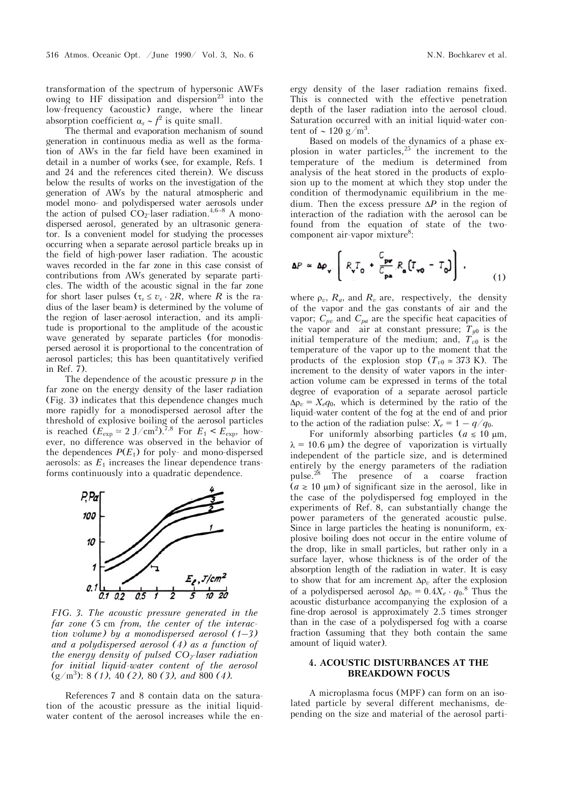transformation of the spectrum of hypersonic AWFs owing to HF dissipation and dispersion<sup>23</sup> into the low-frequency (acoustic) range, where the linear absorption coefficient  $\alpha_s \sim f^2$  is quite small.

The thermal and evaporation mechanism of sound generation in continuous media as well as the formation of AWs in the far field have been examined in detail in a number of works (see, for example, Refs. 1 and 24 and the references cited therein). We discuss below the results of works on the investigation of the generation of AWs by the natural atmospheric and model mono- and polydispersed water aerosols under the action of pulsed  $CO_2$ -laser radiation.<sup>4,6–8</sup> A monodispersed aerosol, generated by an ultrasonic generator. Is a convenient model for studying the processes occurring when a separate aerosol particle breaks up in the field of high-power laser radiation. The acoustic waves recorded in the far zone in this case consist of contributions from AWs generated by separate particles. The width of the acoustic signal in the far zone for short laser pulses  $(\tau_s \le v_s \cdot 2R)$ , where *R* is the radius of the laser beam) is determined by the volume of the region of laser-aerosol interaction, and its amplitude is proportional to the amplitude of the acoustic wave generated by separate particles (for monodispersed aerosol it is proportional to the concentration of aerosol particles; this has been quantitatively verified in Ref. 7).

The dependence of the acoustic pressure *p* in the far zone on the energy density of the laser radiation (Fig. 3) indicates that this dependence changes much more rapidly for a monodispersed aerosol after the threshold of explosive boiling of the aerosol particles is reached  $(E_{\text{exp}} \simeq 2 \text{ J/cm}^2$ .<sup>7,8</sup> For  $E_1 < E_{\text{exp}}$ , however, no difference was observed in the behavior of the dependences  $P(E_1)$  for poly- and mono-dispersed aerosols: as  $E_1$  increases the linear dependence transforms continuously into a quadratic dependence.



*FIG. 3. The acoustic pressure generated in the far zone (*5 cm *from, the center of the interaction volume) by a monodispersed aerosol (1–3) and a polydispersed aerosol (4) as a function of the energy density of pulsed CO<sub>2</sub>-laser radiation for initial liquid-water content of the aerosol*  (g/m3 ): 8 *(1),* 40 *(2),* 80 *(3), and* 800 *(4).*

References 7 and 8 contain data on the saturation of the acoustic pressure as the initial liquidwater content of the aerosol increases while the energy density of the laser radiation remains fixed. This is connected with the effective penetration depth of the laser radiation into the aerosol cloud. Saturation occurred with an initial liquid-water content of  $\sim 120 \text{ g/m}^3$ .

Based on models of the dynamics of a phase explosion in water particles,  $25$  the increment to the temperature of the medium is determined from analysis of the heat stored in the products of explosion up to the moment at which they stop under the condition of thermodynamic equilibrium in the medium. Then the excess pressure  $\Delta P$  in the region of interaction of the radiation with the aerosol can be found from the equation of state of the twocomponent air-vapor mixture<sup>8</sup>:

$$
\Delta P \simeq \Delta \rho_{\mathbf{v}} \left[ R_{\mathbf{v}} T_{0} + \frac{C_{\mathbf{pv}}}{C_{\mathbf{pa}}} R_{\mathbf{a}} \left( T_{\mathbf{v0}} - T_{0} \right) \right], \tag{1}
$$

where  $\rho_v$ ,  $R_a$ , and  $R_v$  are, respectively, the density of the vapor and the gas constants of air and the vapor;  $C_{pv}$  and  $C_{pa}$  are the specific heat capacities of the vapor and air at constant pressure;  $T_{y0}$  is the initial temperature of the medium; and,  $T_{v0}$  is the temperature of the vapor up to the moment that the products of the explosion stop ( $T_{v0} \approx 373$  K). The increment to the density of water vapors in the interaction volume cam be expressed in terms of the total degree of evaporation of a separate aerosol particle  $\Delta \rho_v = X_e q_0$ , which is determined by the ratio of the liquid-water content of the fog at the end of and prior to the action of the radiation pulse:  $X_e = 1 - q/q_0$ .

For uniformly absorbing particles  $(a \leq 10 \mu m,$  $\lambda = 10.6$  µm) the degree of vaporization is virtually independent of the particle size, and is determined entirely by the energy parameters of the radiation<br>pulse.<sup>28</sup> The presence of a coarse fraction The presence of a coarse fraction  $(a \ge 10 \mu m)$  of significant size in the aerosol, like in the case of the polydispersed fog employed in the experiments of Ref. 8, can substantially change the power parameters of the generated acoustic pulse. Since in large particles the heating is nonuniform, explosive boiling does not occur in the entire volume of the drop, like in small particles, but rather only in a surface layer, whose thickness is of the order of the absorption length of the radiation in water. It is easy to show that for am increment  $\Delta \rho_v$  after the explosion of a polydispersed aerosol  $\Delta \rho_v = 0.4 X_e \cdot q_0$ .<sup>8</sup> Thus the acoustic disturbance accompanying the explosion of a fine-drop aerosol is approximately 2.5 times stronger than in the case of a polydispersed fog with a coarse fraction (assuming that they both contain the same amount of liquid water).

#### **4. ACOUSTIC DISTURBANCES AT THE BREAKDOWN FOCUS**

A microplasma focus (MPF) can form on an isolated particle by several different mechanisms, depending on the size and material of the aerosol parti-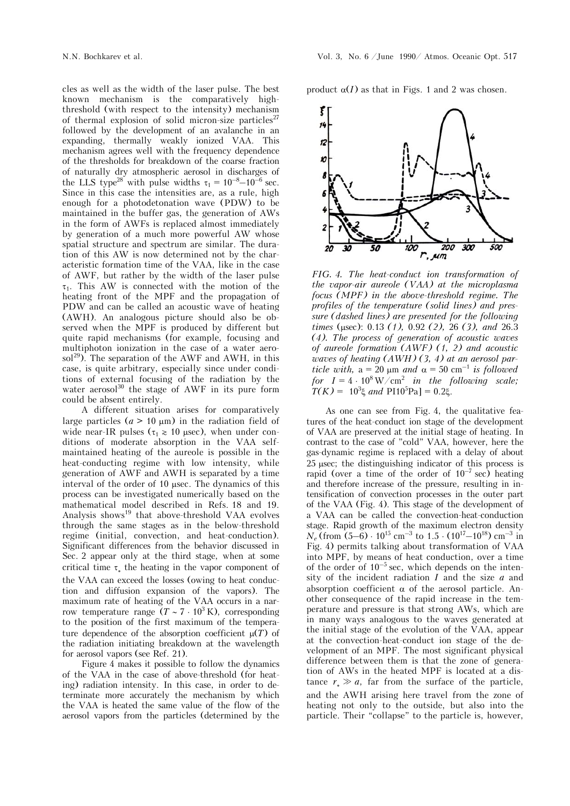cles as well as the width of the laser pulse. The best known mechanism is the comparatively highthreshold (with respect to the intensity) mechanism of thermal explosion of solid micron-size particles<sup>27</sup> followed by the development of an avalanche in an expanding, thermally weakly ionized VAA. This mechanism agrees well with the frequency dependence of the thresholds for breakdown of the coarse fraction of naturally dry atmospheric aerosol in discharges of the LLS type<sup>28</sup> with pulse widths  $\tau_1 = 10^{-8} - 10^{-6}$  sec. Since in this case the intensities are, as a rule, high enough for a photodetonation wave (PDW) to be maintained in the buffer gas, the generation of AWs in the form of AWFs is replaced almost immediately by generation of a much more powerful AW whose spatial structure and spectrum are similar. The duration of this AW is now determined not by the characteristic formation time of the VAA, like in the case of AWF, but rather by the width of the laser pulse  $\tau_1$ . This AW is connected with the motion of the heating front of the MPF and the propagation of PDW and can be called an acoustic wave of heating (AWH). An analogous picture should also be observed when the MPF is produced by different but quite rapid mechanisms (for example, focusing and multiphoton ionization in the case of a water aerosol<sup>29</sup>). The separation of the AWF and AWH, in this case, is quite arbitrary, especially since under conditions of external focusing of the radiation by the water aerosol $^{30}$  the stage of AWF in its pure form could be absent entirely.

A different situation arises for comparatively large particles  $(a > 10 \mu m)$  in the radiation field of wide near-IR pulses ( $\tau_1 \ge 10$  usec), when under conditions of moderate absorption in the VAA selfmaintained heating of the aureole is possible in the heat-conducting regime with low intensity, while generation of AWF and AWH is separated by a time interval of the order of 10 usec. The dynamics of this process can be investigated numerically based on the mathematical model described in Refs. 18 and 19. Analysis shows<sup>19</sup> that above-threshold VAA evolves through the same stages as in the below-threshold regime (initial, convection, and heat-conduction). Significant differences from the behavior discussed in Sec. 2 appear only at the third stage, when at some critical time  $\tau_*$  the heating in the vapor component of the VAA can exceed the losses (owing to heat conduction and diffusion expansion of the vapors). The maximum rate of heating of the VAA occurs in a narrow temperature range  $(T \sim 7 \cdot 10^3 \text{ K})$ , corresponding to the position of the first maximum of the temperature dependence of the absorption coefficient  $\mu(T)$  of the radiation initiating breakdown at the wavelength for aerosol vapors (see Ref. 21).

Figure 4 makes it possible to follow the dynamics of the VAA in the case of above-threshold (for heating) radiation intensity. In this case, in order to determinate more accurately the mechanism by which the VAA is heated the same value of the flow of the aerosol vapors from the particles (determined by the product  $\alpha(I)$  as that in Figs. 1 and 2 was chosen.



*FIG. 4. The heat-conduct ion transformation of the vapor-air aureole (VAA) at the microplasma focus (MPF) in the above-threshold regime. The profiles of the temperature (solid lines) and pressure (dashed lines) are presented for the following times* (usec): 0.13 (1), 0.92 (2), 26 (3), and 26.3 *(4). The process of generation of acoustic waves of aureole formation (AWF) (1, 2) and acoustic waves of heating (AWH) (3, 4) at an aerosol particle with,*  $a = 20 \mu m$  *and*  $\alpha = 50 \text{ cm}^{-1}$  *is followed* for  $I = 4 \cdot 10^8 \,\mathrm{W/cm^2}$  in the following scale;  $T(K) = 10^3 \xi$  *and*  $PI10^5 Pa$ ] = 0.2 $\xi$ .

As one can see from Fig. 4, the qualitative features of the heat-conduct ion stage of the development of VAA are preserved at the initial stage of heating. In contrast to the case of "cold" VAA, however, here the gas-dynamic regime is replaced with a delay of about 25 usec; the distinguishing indicator of this process is rapid (over a time of the order of  $10^{-7}$  sec) heating and therefore increase of the pressure, resulting in intensification of convection processes in the outer part of the VAA (Fig. 4). This stage of the development of a VAA can be called the convection-heat-conduction stage. Rapid growth of the maximum electron density  $N_e$  (from (5–6)  $\cdot$  10<sup>15</sup> cm<sup>-3</sup> to 1.5  $\cdot$  (10<sup>17</sup>–10<sup>18</sup>) cm<sup>-3</sup> in Fig. 4) permits talking about transformation of VAA into MPF, by means of heat conduction, over a time of the order of  $10^{-5}$  sec, which depends on the intensity of the incident radiation *I* and the size *a* and absorption coefficient  $\alpha$  of the aerosol particle. Another consequence of the rapid increase in the temperature and pressure is that strong AWs, which are in many ways analogous to the waves generated at the initial stage of the evolution of the VAA, appear at the convection-heat-conduct ion stage of the development of an MPF. The most significant physical difference between them is that the zone of generation of AWs in the heated MPF is located at a distance  $r_* \gg a$ , far from the surface of the particle, and the AWH arising here travel from the zone of heating not only to the outside, but also into the particle. Their "collapse" to the particle is, however,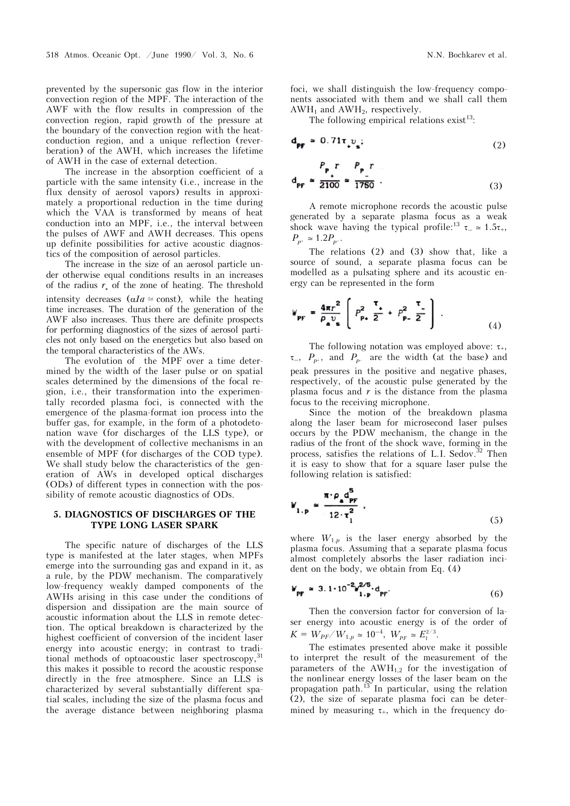prevented by the supersonic gas flow in the interior convection region of the MPF. The interaction of the AWF with the flow results in compression of the convection region, rapid growth of the pressure at the boundary of the convection region with the heatconduction region, and a unique reflection (reverberation) of the AWH, which increases the lifetime of AWH in the case of external detection.

The increase in the absorption coefficient of a particle with the same intensity (i.e., increase in the flux density of aerosol vapors) results in approximately a proportional reduction in the time during which the VAA is transformed by means of heat conduction into an MPF, i.e., the interval between the pulses of AWF and AWH decreases. This opens up definite possibilities for active acoustic diagnostics of the composition of aerosol particles.

The increase in the size of an aerosol particle under otherwise equal conditions results in an increases of the radius  $r_*$  of the zone of heating. The threshold intensity decreases  $(aIa \approx const)$ , while the heating time increases. The duration of the generation of the AWF also increases. Thus there are definite prospects for performing diagnostics of the sizes of aerosol particles not only based on the energetics but also based on the temporal characteristics of the AWs.

The evolution of the MPF over a time determined by the width of the laser pulse or on spatial scales determined by the dimensions of the focal region, i.e., their transformation into the experimentally recorded plasma foci, is connected with the emergence of the plasma-format ion process into the buffer gas, for example, in the form of a photodetonation wave (for discharges of the LLS type), or with the development of collective mechanisms in an ensemble of MPF (for discharges of the COD type). We shall study below the characteristics of the generation of AWs in developed optical discharges (ODs) of different types in connection with the possibility of remote acoustic diagnostics of ODs.

#### **5. DIAGNOSTICS OF DISCHARGES OF THE TYPE LONG LASER SPARK**

The specific nature of discharges of the LLS type is manifested at the later stages, when MPFs emerge into the surrounding gas and expand in it, as a rule, by the PDW mechanism. The comparatively low-frequency weakly damped components of the AWHs arising in this case under the conditions of dispersion and dissipation are the main source of acoustic information about the LLS in remote detection. The optical breakdown is characterized by the highest coefficient of conversion of the incident laser energy into acoustic energy; in contrast to traditional methods of optoacoustic laser spectroscopy, <sup>31</sup> this makes it possible to record the acoustic response directly in the free atmosphere. Since an LLS is characterized by several substantially different spatial scales, including the size of the plasma focus and the average distance between neighboring plasma

foci, we shall distinguish the low-frequency components associated with them and we shall call them  $AWH_1$  and  $AWH_2$ , respectively.

The following empirical relations  $exist^{13}$ :

$$
\mathbf{d}_{\mathbf{p}\mathbf{f}} \approx 0.71 \mathbf{r}_{\bullet} v_{\mathbf{s}};
$$
 (2)

$$
d_{\text{PF}} \approx \frac{P_{\text{t}}}{2100} \approx \frac{P_{\text{t}}}{1750} \tag{3}
$$

A remote microphone records the acoustic pulse generated by a separate plasma focus as a weak shock wave having the typical profile:<sup>13</sup>  $\tau_{-} \approx 1.5\tau_{+}$ ,  $P_{p^+} \simeq 1.2 P_{p^-}.$ 

The relations (2) and (3) show that, like a source of sound, a separate plasma focus can be modelled as a pulsating sphere and its acoustic energy can be represented in the form

$$
W_{\rm PF} = \frac{4\pi r^2}{\rho_a v_s} \left( P_{\rm Pt}^2 \frac{\tau}{2} + P_{\rm Pt}^2 \frac{\tau}{2} \right) . \tag{4}
$$

The following notation was employed above:  $\tau_{+}$ ,  $\tau_{-}$ ,  $P_{p+}$ , and  $P_{p-}$  are the width (at the base) and peak pressures in the positive and negative phases, respectively, of the acoustic pulse generated by the plasma focus and *r* is the distance from the plasma focus to the receiving microphone.

Since the motion of the breakdown plasma along the laser beam for microsecond laser pulses occurs by the PDW mechanism, the change in the radius of the front of the shock wave, forming in the process, satisfies the relations of L.I. Sedov.<sup>32</sup> Then it is easy to show that for a square laser pulse the following relation is satisfied:

$$
W_{1,p} \simeq \frac{\pi \cdot \rho_a d_{\text{PF}}^3}{12 \cdot \tau_1^2} \tag{5}
$$

where  $W_{1,p}$  is the laser energy absorbed by the plasma focus. Assuming that a separate plasma focus almost completely absorbs the laser radiation incident on the body, we obtain from Eq. (4)

$$
W_{\text{PF}} \simeq 3.1 \cdot 10^{-2} W_{1.\text{p}}^{2/5} \cdot d_{\text{PF}}. \tag{6}
$$

Then the conversion factor for conversion of laser energy into acoustic energy is of the order of  $K = W_{PF}/W_{1,p} \simeq 10^{-4}, W_{PF} \simeq E_1^{2/3}.$ 

The estimates presented above make it possible to interpret the result of the measurement of the parameters of the  $AWH_{1,2}$  for the investigation of the nonlinear energy losses of the laser beam on the propagation path.<sup>13</sup> In particular, using the relation (2), the size of separate plasma foci can be determined by measuring  $\tau_{+}$ , which in the frequency do-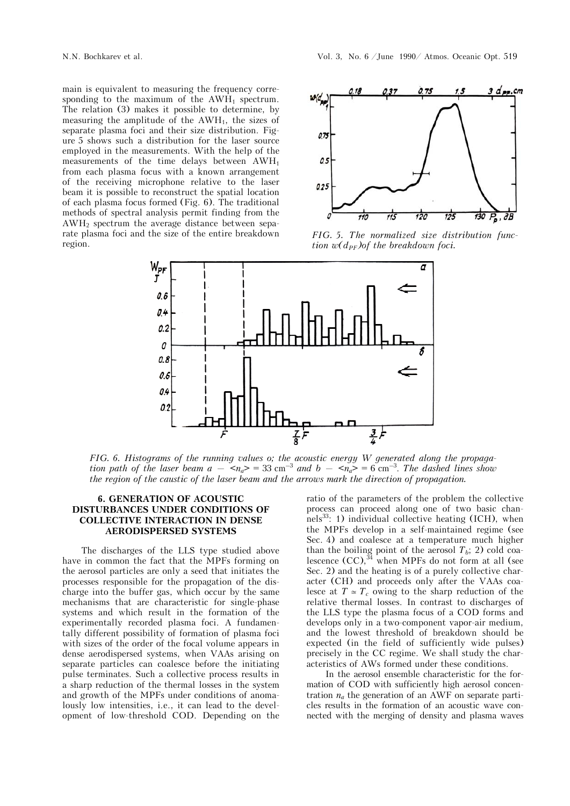main is equivalent to measuring the frequency corresponding to the maximum of the  $AWH_1$  spectrum. The relation (3) makes it possible to determine, by measuring the amplitude of the  $AWH_1$ , the sizes of separate plasma foci and their size distribution. Figure 5 shows such a distribution for the laser source employed in the measurements. With the help of the measurements of the time delays between AWH1 from each plasma focus with a known arrangement of the receiving microphone relative to the laser beam it is possible to reconstruct the spatial location of each plasma focus formed (Fig. 6). The traditional methods of spectral analysis permit finding from the AWH2 spectrum the average distance between separate plasma foci and the size of the entire breakdown region.



*FIG. 5. The normalized size distribution function w*( $d_{PF}$ )of the breakdown foci.



*FIG. 6. Histograms of the running values o; the acoustic energy W generated along the propagation path of the laser beam*  $a - \langle n_a \rangle = 33 \text{ cm}^{-3}$  *and*  $b - \langle n_a \rangle = 6 \text{ cm}^{-3}$ *. The dashed lines show the region of the caustic of the laser beam and the arrows mark the direction of propagation.*

### **6. GENERATION OF ACOUSTIC DISTURBANCES UNDER CONDITIONS OF COLLECTIVE INTERACTION IN DENSE AERODISPERSED SYSTEMS**

The discharges of the LLS type studied above have in common the fact that the MPFs forming on the aerosol particles are only a seed that initiates the processes responsible for the propagation of the discharge into the buffer gas, which occur by the same mechanisms that are characteristic for single-phase systems and which result in the formation of the experimentally recorded plasma foci. A fundamentally different possibility of formation of plasma foci with sizes of the order of the focal volume appears in dense aerodispersed systems, when VAAs arising on separate particles can coalesce before the initiating pulse terminates. Such a collective process results in a sharp reduction of the thermal losses in the system and growth of the MPFs under conditions of anomalously low intensities, i.e., it can lead to the development of low-threshold COD. Depending on the ratio of the parameters of the problem the collective process can proceed along one of two basic chan $nels<sup>33</sup>:$  1) individual collective heating (ICH), when the MPFs develop in a self-maintained regime (see Sec. 4) and coalesce at a temperature much higher than the boiling point of the aerosol  $T_b$ ; 2) cold coalescence  $(CC)$ ,<sup>34</sup> when MPFs do not form at all (see Sec. 2) and the heating is of a purely collective character (CH) and proceeds only after the VAAs coalesce at  $T \approx T_c$  owing to the sharp reduction of the relative thermal losses. In contrast to discharges of the LLS type the plasma focus of a COD forms and develops only in a two-component vapor-air medium, and the lowest threshold of breakdown should be expected (in the field of sufficiently wide pulses) precisely in the CC regime. We shall study the characteristics of AWs formed under these conditions.

In the aerosol ensemble characteristic for the formation of COD with sufficiently high aerosol concentration *na* the generation of an AWF on separate particles results in the formation of an acoustic wave connected with the merging of density and plasma waves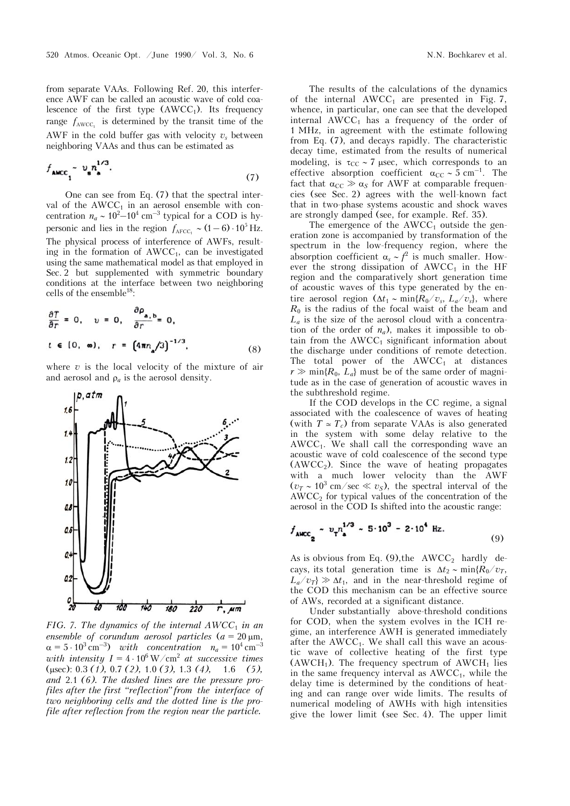from separate VAAs. Following Ref. 20, this interference AWF can be called an acoustic wave of cold coalescence of the first type  $(AWCC_1)$ . Its frequency range  $f_{\text{AWCC}_1}$  is determined by the transit time of the AWF in the cold buffer gas with velocity  $v_s$  between neighboring VAAs and thus can be estimated as

$$
f_{\text{AMCC}_1} \sim v_n^{1/3}.
$$

One can see from Eq. (7) that the spectral interval of the  $AWCC<sub>1</sub>$  in an aerosol ensemble with concentration  $n_a \sim 10^2 - 10^4$  cm<sup>-3</sup> typical for a COD is hypersonic and lies in the region  $f_{\text{AFCC}_1} \sim (1-6) \cdot 10^5 \text{ Hz.}$ The physical process of interference of AWFs, resulting in the formation of  $AWCC<sub>1</sub>$ , can be investigated using the same mathematical model as that employed in Sec. 2 but supplemented with symmetric boundary conditions at the interface between two neighboring cells of the ensemble<sup>18</sup>:

$$
\frac{\partial T}{\partial r} = 0, \quad v = 0, \quad \frac{\partial \rho_{a,b}}{\partial r} = 0,
$$
  
 $t \in [0, \infty), \quad r = (4\pi n_a/3)^{-1/3}.$  (8)

where *v* is the local velocity of the mixture of air and aerosol and  $\rho_a$  is the aerosol density.



*FIG. 7. The dynamics of the internal*  $AWCC_1$  *in an ensemble of corundum aerosol particles*  $(a = 20 \mu m,$  $\alpha = 5 \cdot 10^3 \text{ cm}^{-3}$  *with concentration*  $n_a = 10^4 \text{ cm}^{-3}$ *with intensity*  $I = 4 \cdot 10^6 \,\mathrm{W/cm^2}$  *at successive times* (sec): 0.3 *(1),* 0.7 *(2),* 1.0 *(3),* 1.3 *(4),* 1.6 *(5), and* 2.1 *(6). The dashed lines are the pressure profiles after the first "reflection"from the interface of two neighboring cells and the dotted line is the profile after reflection from the region near the particle.*

The results of the calculations of the dynamics of the internal  $AWCC_1$  are presented in Fig. 7, whence, in particular, one can see that the developed internal  $AWCC<sub>1</sub>$  has a frequency of the order of 1 MHz, in agreement with the estimate following from Eq. (7), and decays rapidly. The characteristic decay time, estimated from the results of numerical modeling, is  $\tau_{CC} \sim 7$  usec, which corresponds to an effective absorption coefficient  $\alpha_{CC} \sim 5$  cm<sup>-1</sup>. The fact that  $\alpha_{CC} \gg \alpha_S$  for AWF at comparable frequencies (see Sec. 2) agrees with the well-known fact that in two-phase systems acoustic and shock waves are strongly damped (see, for example. Ref. 35).

The emergence of the  $AWCC_1$  outside the generation zone is accompanied by transformation of the spectrum in the low-frequency region, where the absorption coefficient  $\alpha_s \sim f^2$  is much smaller. However the strong dissipation of  $AWCC<sub>1</sub>$  in the HF region and the comparatively short generation time of acoustic waves of this type generated by the entire aerosol region  $(\Delta t_1 \sim \min\{R_0/v_s, L_a/v_s\})$ , where  $R_0$  is the radius of the focal waist of the beam and  $L_a$  is the size of the aerosol cloud with a concentration of the order of  $n_a$ ), makes it impossible to obtain from the  $AWCC<sub>1</sub>$  significant information about the discharge under conditions of remote detection. The total power of the  $AWCC<sub>1</sub>$  at distances  $r \gg \min\{R_0, L_a\}$  must be of the same order of magnitude as in the case of generation of acoustic waves in the subthreshold regime.

If the COD develops in the CC regime, a signal associated with the coalescence of waves of heating (with  $T \approx T_c$ ) from separate VAAs is also generated in the system with some delay relative to the  $AWCC<sub>1</sub>$ . We shall call the corresponding wave an acoustic wave of cold coalescence of the second type  $(AWCC<sub>2</sub>)$ . Since the wave of heating propagates with a much lower velocity than the AWF  $(v_T \sim 10^3 \text{ cm/sec} \ll v_S)$ , the spectral interval of the  $AWCC<sub>2</sub>$  for typical values of the concentration of the aerosol in the COD Is shifted into the acoustic range:

$$
f_{\text{AMCC}_2} \sim v_T n_{\text{a}}^{1/3} \sim 5 \cdot 10^3 - 2 \cdot 10^4 \text{ Hz.}
$$
 (9)

As is obvious from Eq.  $(9)$ , the AWCC<sub>2</sub> hardly decays, its total generation time is  $\Delta t_2 \sim \min\{R_0/v_T,$  $L_a/v_T$   $\gg \Delta t_1$ , and in the near-threshold regime of the COD this mechanism can be an effective source of AWs, recorded at a significant distance.

Under substantially above-threshold conditions for COD, when the system evolves in the ICH regime, an interference AWH is generated immediately after the  $AWCC<sub>1</sub>$ . We shall call this wave an acoustic wave of collective heating of the first type  $(AWCH<sub>1</sub>)$ . The frequency spectrum of  $AWCH<sub>1</sub>$  lies in the same frequency interval as  $AWCC<sub>1</sub>$ , while the delay time is determined by the conditions of heating and can range over wide limits. The results of numerical modeling of AWHs with high intensities give the lower limit (see Sec. 4). The upper limit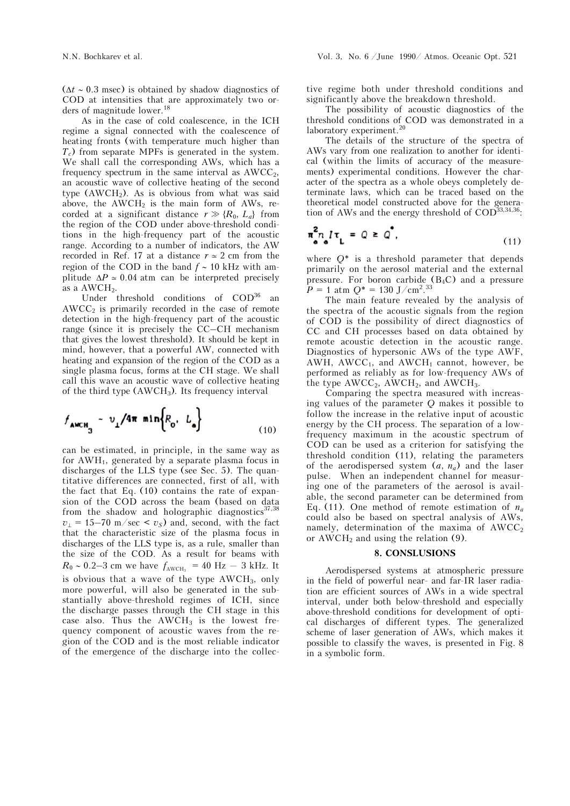$(\Delta t \sim 0.3$  msec) is obtained by shadow diagnostics of COD at intensities that are approximately two orders of magnitude lower.<sup>18</sup>

As in the case of cold coalescence, in the ICH regime a signal connected with the coalescence of heating fronts (with temperature much higher than *Tc*) from separate MPFs is generated in the system. We shall call the corresponding AWs, which has a frequency spectrum in the same interval as  $AWCC<sub>2</sub>$ , an acoustic wave of collective heating of the second type  $(AWCH<sub>2</sub>)$ . As is obvious from what was said above, the  $AWCH<sub>2</sub>$  is the main form of AWs, recorded at a significant distance  $r \gg \{R_0, L_a\}$  from the region of the COD under above-threshold conditions in the high-frequency part of the acoustic range. According to a number of indicators, the AW recorded in Ref. 17 at a distance  $r\simeq 2$  cm from the region of the COD in the band  $f \sim 10$  kHz with amplitude  $\Delta P \approx 0.04$  atm can be interpreted precisely as a  $AWCH<sub>2</sub>$ .

Under threshold conditions of  $\text{COD}^{36}$  an  $AWCC<sub>2</sub>$  is primarily recorded in the case of remote detection in the high-frequency part of the acoustic range (since it is precisely the CC–CH mechanism that gives the lowest threshold). It should be kept in mind, however, that a powerful AW, connected with heating and expansion of the region of the COD as a single plasma focus, forms at the CH stage. We shall call this wave an acoustic wave of collective heating of the third type  $(AWCH<sub>3</sub>)$ . Its frequency interval

$$
f_{\text{AWCH}_3} \sim v_{\perp}/4\pi \min\left\{R_0, L_0\right\} \tag{10}
$$

can be estimated, in principle, in the same way as for AWH1, generated by a separate plasma focus in discharges of the LLS type (see Sec. 5). The quantitative differences are connected, first of all, with the fact that Eq. (10) contains the rate of expansion of the COD across the beam (based on data from the shadow and holographic diagnostics $37,38$  $v_{\perp}$  = 15–70 m/sec <  $v_{\rm s}$ ) and, second, with the fact that the characteristic size of the plasma focus in discharges of the LLS type is, as a rule, smaller than the size of the COD. As a result for beams with  $R_0 \sim 0.2-3$  cm we have  $f_{\text{AWCH}_3} = 40 \text{ Hz} - 3 \text{ kHz}$ . It is obvious that a wave of the type  $AWCH<sub>3</sub>$ , only more powerful, will also be generated in the substantially above-threshold regimes of ICH, since the discharge passes through the CH stage in this case also. Thus the  $AWCH<sub>3</sub>$  is the lowest frequency component of acoustic waves from the region of the COD and is the most reliable indicator of the emergence of the discharge into the collective regime both under threshold conditions and significantly above the breakdown threshold.

The possibility of acoustic diagnostics of the threshold conditions of COD was demonstrated in a laboratory experiment.<sup>20</sup>

The details of the structure of the spectra of AWs vary from one realization to another for identical (within the limits of accuracy of the measurements) experimental conditions. However the character of the spectra as a whole obeys completely determinate laws, which can be traced based on the theoretical model constructed above for the generation of AWs and the energy threshold of  $\mathrm{COD}^{\overline{3}3,34,36}$ :

$$
\pi_{a}^{2} n_{a} l \tau_{L} = Q \geq Q^{2}, \qquad (11)
$$

where *Q*\* is a threshold parameter that depends primarily on the aerosol material and the external pressure. For boron carbide  $(B_4C)$  and a pressure  $P = 1$  atm  $Q^* = 130$  J/cm<sup>2</sup>.<sup>33</sup>

The main feature revealed by the analysis of the spectra of the acoustic signals from the region of COD is the possibility of direct diagnostics of CC and CH processes based on data obtained by remote acoustic detection in the acoustic range. Diagnostics of hypersonic AWs of the type AWF, AWH, AWCC<sub>1</sub>, and AWCH<sub>1</sub> cannot, however, be performed as reliably as for low-frequency AWs of the type  $AWCC_2$ ,  $AWCH_2$ , and  $AWCH_3$ .

Comparing the spectra measured with increasing values of the parameter *Q* makes it possible to follow the increase in the relative input of acoustic energy by the CH process. The separation of a lowfrequency maximum in the acoustic spectrum of COD can be used as a criterion for satisfying the threshold condition (11), relating the parameters of the aerodispersed system  $(a, n_a)$  and the laser pulse. When an independent channel for measuring one of the parameters of the aerosol is available, the second parameter can be determined from Eq. (11). One method of remote estimation of  $n_a$ could also be based on spectral analysis of AWs, namely, determination of the maxima of  $AWCC<sub>2</sub>$ or  $AWCH<sub>2</sub>$  and using the relation (9).

#### **8. CONSLUSIONS**

Aerodispersed systems at atmospheric pressure in the field of powerful near- and far-IR laser radiation are efficient sources of AWs in a wide spectral interval, under both below-threshold and especially above-threshold conditions for development of optical discharges of different types. The generalized scheme of laser generation of AWs, which makes it possible to classify the waves, is presented in Fig. 8 in a symbolic form.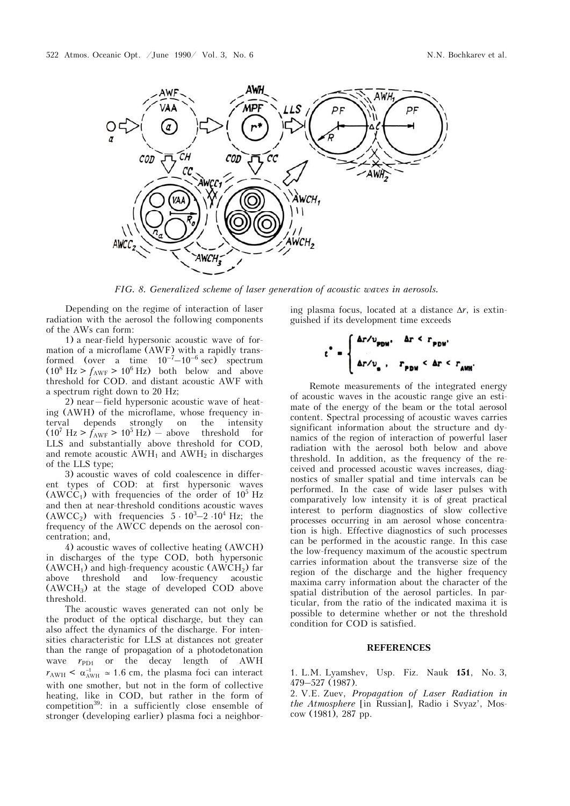

*FIG. 8. Generalized scheme of laser generation of acoustic waves in aerosols.*

Depending on the regime of interaction of laser radiation with the aerosol the following components of the AWs can form:

1) a near-field hypersonic acoustic wave of formation of a microflame (AWF) with a rapidly transformed (over a time  $10^{-7}-10^{-6}$  sec) spectrum  $(10^8 \text{ Hz} > f_{\text{AWF}} > 10^6 \text{ Hz})$  both below and above threshold for COD. and distant acoustic AWF with a spectrum right down to 20 Hz;

2) near—field hypersonic acoustic wave of heating (AWH) of the microflame, whose frequency interval depends strongly on the intensity  $(10^7 \text{ Hz} > f_{\text{AWF}} > 10^5 \text{ Hz})$  – above threshold for LLS and substantially above threshold for COD, and remote acoustic  $AWH_1$  and  $AWH_2$  in discharges of the LLS type;

3) acoustic waves of cold coalescence in different types of COD: at first hypersonic waves  $(AWCC<sub>1</sub>)$  with frequencies of the order of  $10<sup>5</sup>$  Hz and then at near-threshold conditions acoustic waves  $(AWCC<sub>2</sub>)$  with frequencies  $5 \cdot 10^3 - 2 \cdot 10^4$  Hz; the frequency of the AWCC depends on the aerosol concentration; and,

4) acoustic waves of collective heating (AWCH) in discharges of the type COD, both hypersonic  $(AWCH<sub>1</sub>)$  and high-frequency acoustic  $(AWCH<sub>2</sub>)$  far above threshold and low-frequency acoustic (AWCH3) at the stage of developed COD above threshold.

The acoustic waves generated can not only be the product of the optical discharge, but they can also affect the dynamics of the discharge. For intensities characteristic for LLS at distances not greater than the range of propagation of a photodetonation wave  $r_{\text{PD1}}$  or the decay length of AWH  $r_{\text{AWH}} < \alpha_{\text{AWH}}^{-1} \approx 1.6$  cm, the plasma foci can interact with one smother, but not in the form of collective heating, like in COD, but rather in the form of competition<sup>39</sup>: in a sufficiently close ensemble of stronger (developing earlier) plasma foci a neighbor-

ing plasma focus, located at a distance  $\Delta r$ , is extinguished if its development time exceeds



Remote measurements of the integrated energy of acoustic waves in the acoustic range give an estimate of the energy of the beam or the total aerosol content. Spectral processing of acoustic waves carries significant information about the structure and dynamics of the region of interaction of powerful laser radiation with the aerosol both below and above threshold. In addition, as the frequency of the received and processed acoustic waves increases, diagnostics of smaller spatial and time intervals can be performed. In the case of wide laser pulses with comparatively low intensity it is of great practical interest to perform diagnostics of slow collective processes occurring in am aerosol whose concentration is high. Effective diagnostics of such processes can be performed in the acoustic range. In this case the low-frequency maximum of the acoustic spectrum carries information about the transverse size of the region of the discharge and the higher frequency maxima carry information about the character of the spatial distribution of the aerosol particles. In particular, from the ratio of the indicated maxima it is possible to determine whether or not the threshold condition for COD is satisfied.

#### **REFERENCES**

1. L.M. Lyamshev, Usp. Fiz. Nauk **151**, No. 3, 479–527 (1987).

2. V.E. Zuev, *Propagation of Laser Radiation in the Atmosphere* [in Russian], Radio i Svyaz', Moscow (1981), 287 pp.